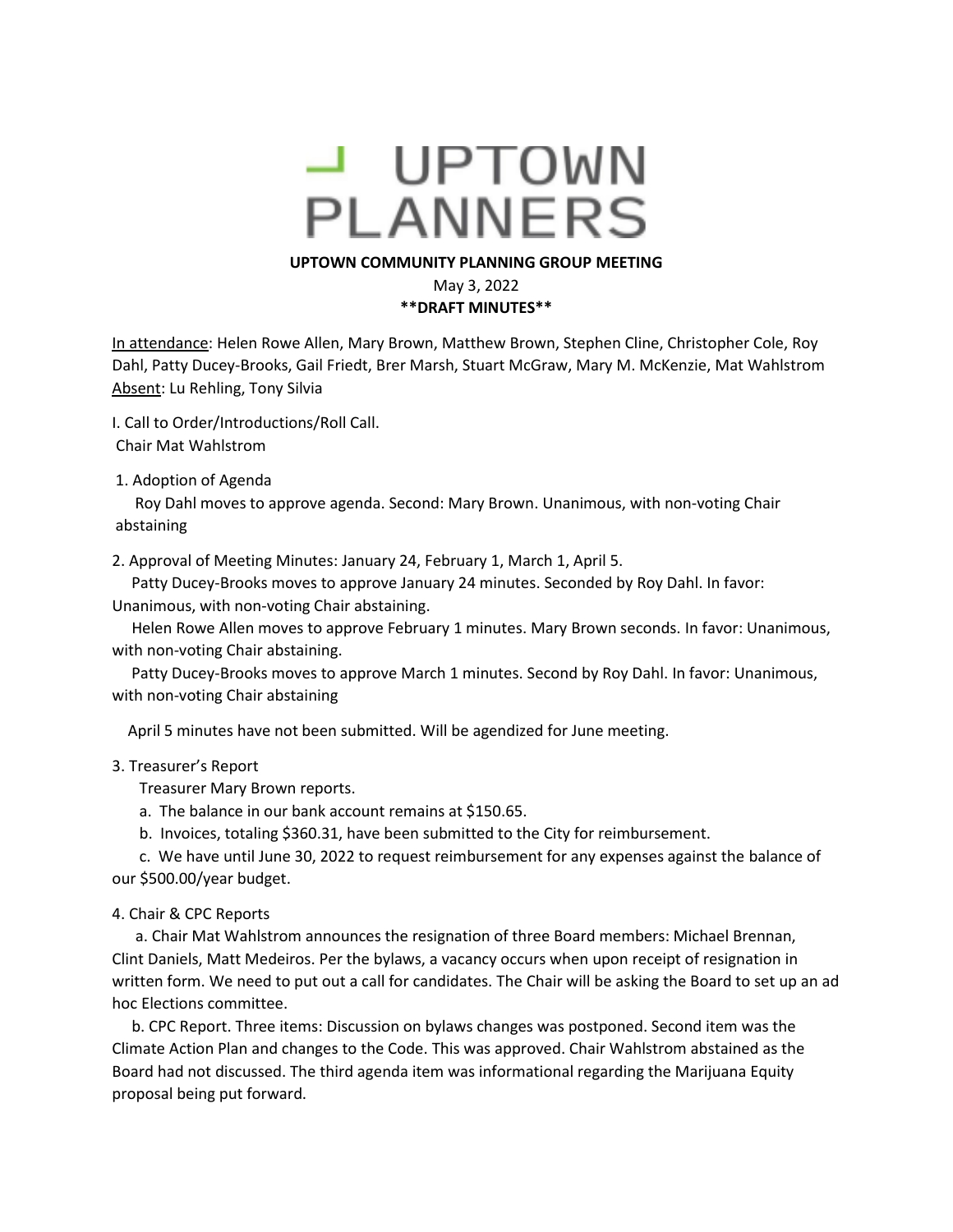# - UPTOWN **PLANNERS**

#### **UPTOWN COMMUNITY PLANNING GROUP MEETING**

May 3, 2022

**\*\*DRAFT MINUTES\*\***

In attendance: Helen Rowe Allen, Mary Brown, Matthew Brown, Stephen Cline, Christopher Cole, Roy Dahl, Patty Ducey-Brooks, Gail Friedt, Brer Marsh, Stuart McGraw, Mary M. McKenzie, Mat Wahlstrom Absent: Lu Rehling, Tony Silvia

I. Call to Order/Introductions/Roll Call.

Chair Mat Wahlstrom

1. Adoption of Agenda

 Roy Dahl moves to approve agenda. Second: Mary Brown. Unanimous, with non-voting Chair abstaining

2. Approval of Meeting Minutes: January 24, February 1, March 1, April 5.

 Patty Ducey-Brooks moves to approve January 24 minutes. Seconded by Roy Dahl. In favor: Unanimous, with non-voting Chair abstaining.

 Helen Rowe Allen moves to approve February 1 minutes. Mary Brown seconds. In favor: Unanimous, with non-voting Chair abstaining.

 Patty Ducey-Brooks moves to approve March 1 minutes. Second by Roy Dahl. In favor: Unanimous, with non-voting Chair abstaining

April 5 minutes have not been submitted. Will be agendized for June meeting.

### 3. Treasurer's Report

Treasurer Mary Brown reports.

- a. The balance in our bank account remains at \$150.65.
- b. Invoices, totaling \$360.31, have been submitted to the City for reimbursement.

 c. We have until June 30, 2022 to request reimbursement for any expenses against the balance of our \$500.00/year budget.

#### 4. Chair & CPC Reports

 a. Chair Mat Wahlstrom announces the resignation of three Board members: Michael Brennan, Clint Daniels, Matt Medeiros. Per the bylaws, a vacancy occurs when upon receipt of resignation in written form. We need to put out a call for candidates. The Chair will be asking the Board to set up an ad hoc Elections committee.

 b. CPC Report. Three items: Discussion on bylaws changes was postponed. Second item was the Climate Action Plan and changes to the Code. This was approved. Chair Wahlstrom abstained as the Board had not discussed. The third agenda item was informational regarding the Marijuana Equity proposal being put forward.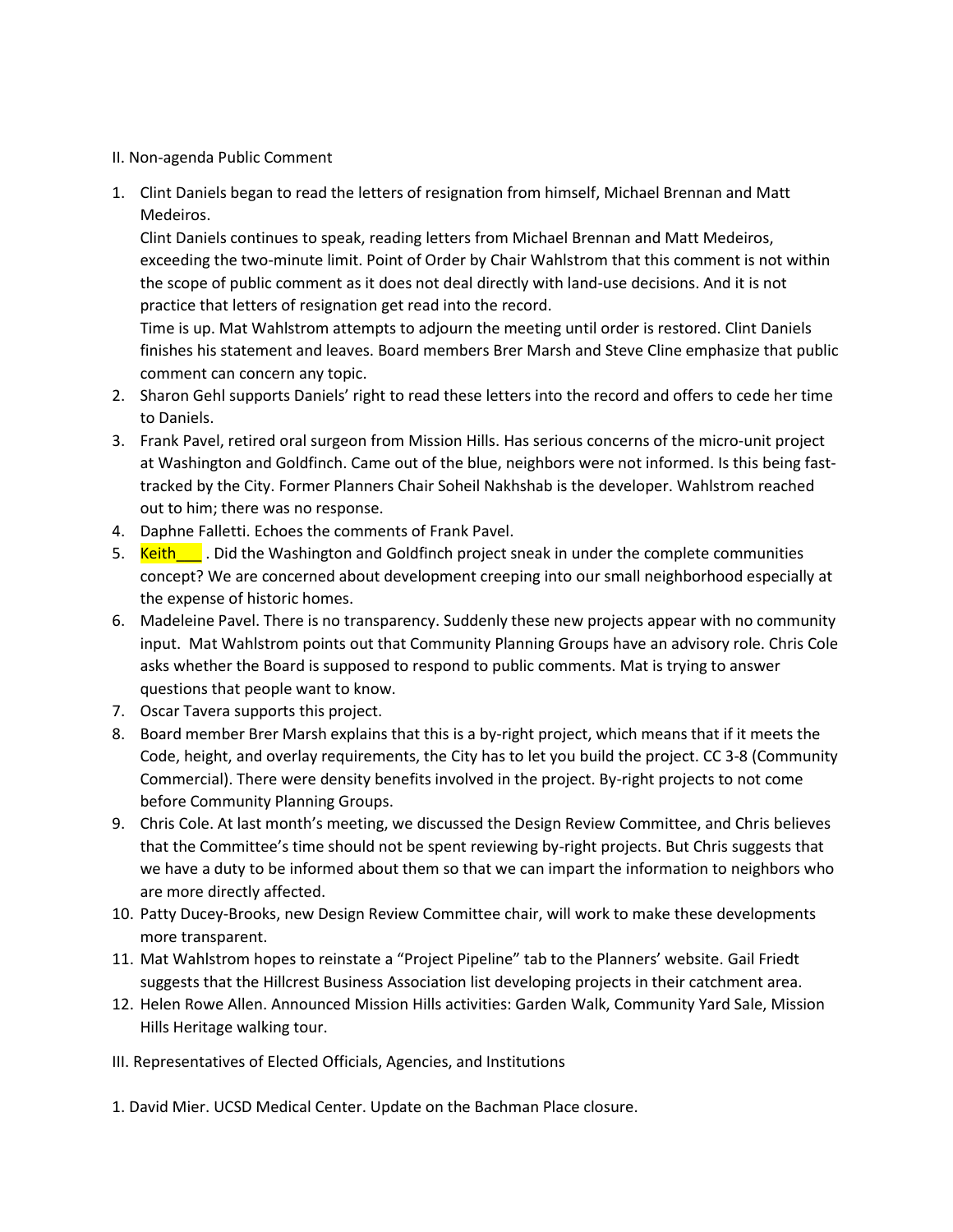## II. Non-agenda Public Comment

1. Clint Daniels began to read the letters of resignation from himself, Michael Brennan and Matt Medeiros.

Clint Daniels continues to speak, reading letters from Michael Brennan and Matt Medeiros, exceeding the two-minute limit. Point of Order by Chair Wahlstrom that this comment is not within the scope of public comment as it does not deal directly with land-use decisions. And it is not practice that letters of resignation get read into the record.

Time is up. Mat Wahlstrom attempts to adjourn the meeting until order is restored. Clint Daniels finishes his statement and leaves. Board members Brer Marsh and Steve Cline emphasize that public comment can concern any topic.

- 2. Sharon Gehl supports Daniels' right to read these letters into the record and offers to cede her time to Daniels.
- 3. Frank Pavel, retired oral surgeon from Mission Hills. Has serious concerns of the micro-unit project at Washington and Goldfinch. Came out of the blue, neighbors were not informed. Is this being fasttracked by the City. Former Planners Chair Soheil Nakhshab is the developer. Wahlstrom reached out to him; there was no response.
- 4. Daphne Falletti. Echoes the comments of Frank Pavel.
- 5. Keith L . Did the Washington and Goldfinch project sneak in under the complete communities concept? We are concerned about development creeping into our small neighborhood especially at the expense of historic homes.
- 6. Madeleine Pavel. There is no transparency. Suddenly these new projects appear with no community input. Mat Wahlstrom points out that Community Planning Groups have an advisory role. Chris Cole asks whether the Board is supposed to respond to public comments. Mat is trying to answer questions that people want to know.
- 7. Oscar Tavera supports this project.
- 8. Board member Brer Marsh explains that this is a by-right project, which means that if it meets the Code, height, and overlay requirements, the City has to let you build the project. CC 3-8 (Community Commercial). There were density benefits involved in the project. By-right projects to not come before Community Planning Groups.
- 9. Chris Cole. At last month's meeting, we discussed the Design Review Committee, and Chris believes that the Committee's time should not be spent reviewing by-right projects. But Chris suggests that we have a duty to be informed about them so that we can impart the information to neighbors who are more directly affected.
- 10. Patty Ducey-Brooks, new Design Review Committee chair, will work to make these developments more transparent.
- 11. Mat Wahlstrom hopes to reinstate a "Project Pipeline" tab to the Planners' website. Gail Friedt suggests that the Hillcrest Business Association list developing projects in their catchment area.
- 12. Helen Rowe Allen. Announced Mission Hills activities: Garden Walk, Community Yard Sale, Mission Hills Heritage walking tour.
- III. Representatives of Elected Officials, Agencies, and Institutions
- 1. David Mier. UCSD Medical Center. Update on the Bachman Place closure.